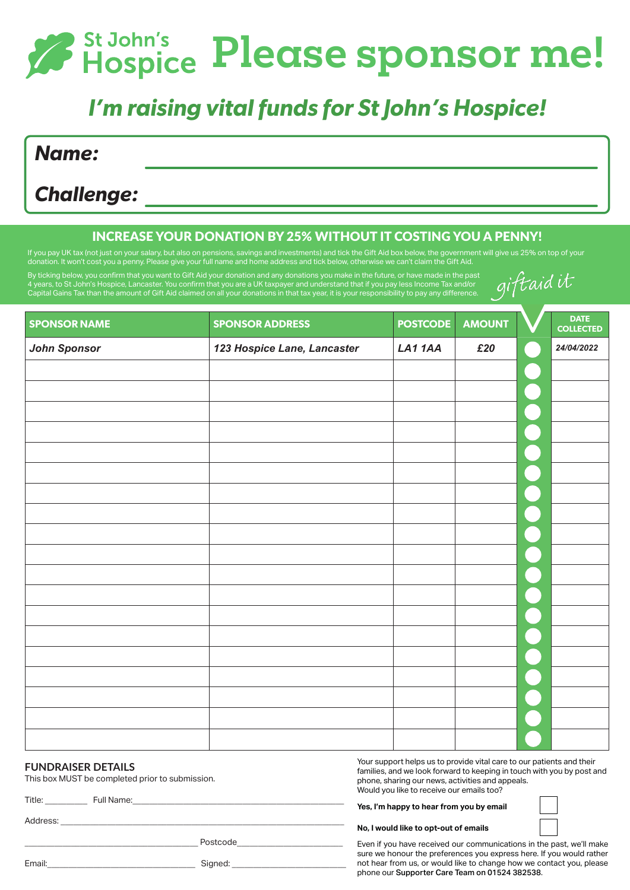## *P* St John's Please sponsor me!

## *I'm raising vital funds for St John's Hospice!*

*Name:*

*Challenge:*

## INCREASE YOUR DONATION BY 25% WITHOUT IT COSTING YOU A PENNY!

If you pay UK tax (not just on your salary, but also on pensions, savings and investments) and tick the Gift Aid box below, the government will give us 25% on top of your donation. It won't cost you a penny. Please give your full name and home address and tick below, otherwise we can't claim the Gift Aid.

By ticking below, you confirm that you want to Gift Aid your donation and any donations you make in the future, or have made in the past 4 years, to St John's Hospice, Lancaster. You confirm that you are a UK taxpayer and understand that if you pay less income Tax and/or Capital Gains Tax than the amount of Gift Aid claimed on all your donations in that tax year, it is your responsibility to pay any difference.

| giftaid it |  |
|------------|--|
|            |  |

| <b>SPONSOR NAME</b> | <b>SPONSOR ADDRESS</b>      | <b>POSTCODE</b> | <b>AMOUNT</b> | <b>DATE</b><br><b>COLLECTED</b> |
|---------------------|-----------------------------|-----------------|---------------|---------------------------------|
| <b>John Sponsor</b> | 123 Hospice Lane, Lancaster | LA11AA          | £20           | 24/04/2022                      |
|                     |                             |                 |               |                                 |
|                     |                             |                 |               |                                 |
|                     |                             |                 |               |                                 |
|                     |                             |                 |               |                                 |
|                     |                             |                 |               |                                 |
|                     |                             |                 |               |                                 |
|                     |                             |                 |               |                                 |
|                     |                             |                 |               |                                 |
|                     |                             |                 |               |                                 |
|                     |                             |                 |               |                                 |
|                     |                             |                 |               |                                 |
|                     |                             |                 |               |                                 |
|                     |                             |                 |               |                                 |
|                     |                             |                 |               |                                 |
|                     |                             |                 |               |                                 |
|                     |                             |                 |               |                                 |
|                     |                             |                 |               |                                 |
|                     |                             |                 |               |                                 |
|                     |                             |                 |               |                                 |

#### **FUNDRAISER DETAILS**

This box MUST be completed prior to submission.

Title: Full Name:

Address: \_\_\_\_\_\_\_\_\_\_\_\_\_\_\_\_\_\_\_\_\_\_\_\_\_\_\_\_\_\_\_\_\_\_\_\_\_\_\_\_\_\_\_\_\_\_\_\_\_\_\_\_\_\_\_\_\_\_\_\_\_\_\_\_\_\_\_

\_\_\_\_\_\_\_\_\_\_\_\_\_\_\_\_\_\_\_\_\_\_\_\_\_\_\_\_\_\_\_\_\_\_\_\_\_\_\_\_\_ Postcode\_\_\_\_\_\_\_\_\_\_\_\_\_\_\_\_\_\_\_\_\_\_\_\_\_

Your support helps us to provide vital care to our patients and their families, and we look forward to keeping in touch with you by post and phone, sharing our news, activities and appeals. Would you like to receive our emails too?

**Yes, I'm happy to hear from you by email**

**No, I would like to opt-out of emails** 

Even if you have received our communications in the past, we'll make sure we honour the preferences you express here. If you would rather not hear from us, or would like to change how we contact you, please phone our Supporter Care Team on 01524 382538.

| $\sim$<br>- - - - - - -<br>.ııaıı. | Sianed: |
|------------------------------------|---------|
|                                    |         |